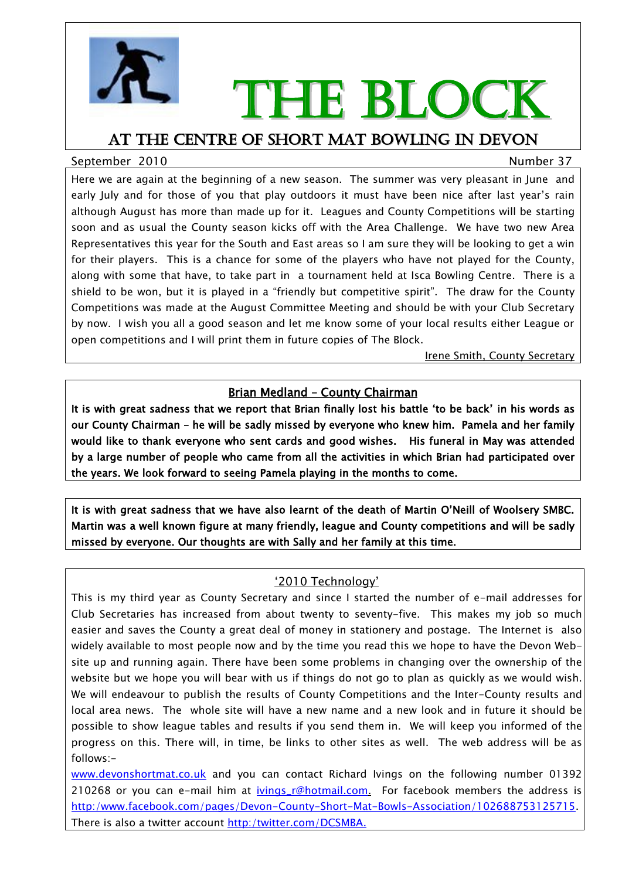

# THE BLOCK

### At the centre of short mat bowling in devon

#### September 2010 Number 37

Here we are again at the beginning of a new season. The summer was very pleasant in June and early July and for those of you that play outdoors it must have been nice after last year"s rain although August has more than made up for it. Leagues and County Competitions will be starting soon and as usual the County season kicks off with the Area Challenge. We have two new Area Representatives this year for the South and East areas so I am sure they will be looking to get a win for their players. This is a chance for some of the players who have not played for the County, along with some that have, to take part in a tournament held at Isca Bowling Centre. There is a shield to be won, but it is played in a "friendly but competitive spirit". The draw for the County Competitions was made at the August Committee Meeting and should be with your Club Secretary by now. I wish you all a good season and let me know some of your local results either League or open competitions and I will print them in future copies of The Block.

Irene Smith, County Secretary

#### Brian Medland – County Chairman

It is with great sadness that we report that Brian finally lost his battle "to be back" in his words as our County Chairman – he will be sadly missed by everyone who knew him. Pamela and her family would like to thank everyone who sent cards and good wishes. His funeral in May was attended by a large number of people who came from all the activities in which Brian had participated over the years. We look forward to seeing Pamela playing in the months to come.

It is with great sadness that we have also learnt of the death of Martin O"Neill of Woolsery SMBC. Martin was a well known figure at many friendly, league and County competitions and will be sadly missed by everyone. Our thoughts are with Sally and her family at this time.

#### "2010 Technology"

This is my third year as County Secretary and since I started the number of e-mail addresses for Club Secretaries has increased from about twenty to seventy-five. This makes my job so much easier and saves the County a great deal of money in stationery and postage. The Internet is also widely available to most people now and by the time you read this we hope to have the Devon Website up and running again. There have been some problems in changing over the ownership of the website but we hope you will bear with us if things do not go to plan as quickly as we would wish. We will endeavour to publish the results of County Competitions and the Inter-County results and local area news. The whole site will have a new name and a new look and in future it should be possible to show league tables and results if you send them in. We will keep you informed of the progress on this. There will, in time, be links to other sites as well. The web address will be as follows:-

www.devonshortmat.co.uk and you can contact Richard Ivings on the following number 01392 210268 or you can e-mail him at *ivings\_r@hotmail.com.* For facebook members the address is http:/www.facebook.com/pages/Devon-County-Short-Mat-Bowls-Association/102688753125715. There is also a twitter account http:/twitter.com/DCSMBA.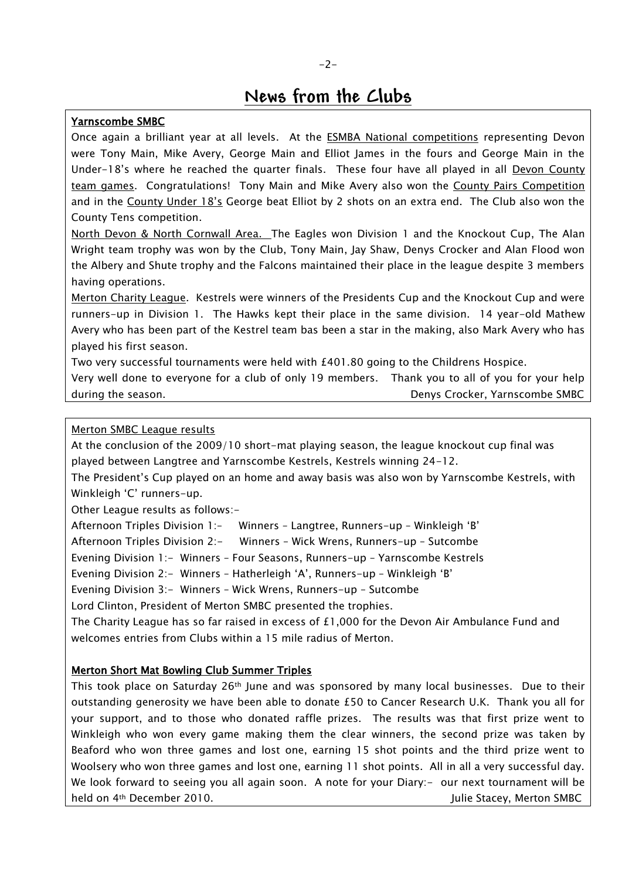## **News from the Clubs**

#### Yarnscombe SMBC

Once again a brilliant year at all levels. At the ESMBA National competitions representing Devon were Tony Main, Mike Avery, George Main and Elliot James in the fours and George Main in the Under-18"s where he reached the quarter finals. These four have all played in all Devon County team games. Congratulations! Tony Main and Mike Avery also won the County Pairs Competition and in the County Under 18"s George beat Elliot by 2 shots on an extra end. The Club also won the County Tens competition.

North Devon & North Cornwall Area. The Eagles won Division 1 and the Knockout Cup, The Alan Wright team trophy was won by the Club, Tony Main, Jay Shaw, Denys Crocker and Alan Flood won the Albery and Shute trophy and the Falcons maintained their place in the league despite 3 members having operations.

Merton Charity League. Kestrels were winners of the Presidents Cup and the Knockout Cup and were runners-up in Division 1. The Hawks kept their place in the same division. 14 year-old Mathew Avery who has been part of the Kestrel team bas been a star in the making, also Mark Avery who has played his first season.

Two very successful tournaments were held with £401.80 going to the Childrens Hospice.

Very well done to everyone for a club of only 19 members. Thank you to all of you for your help during the season. The season of the season of the season of the season of the season of the season of the season of the season of the season of the season of the season of the season of the season of the season of the sea

#### Merton SMBC League results

At the conclusion of the 2009/10 short-mat playing season, the league knockout cup final was played between Langtree and Yarnscombe Kestrels, Kestrels winning 24-12.

The President"s Cup played on an home and away basis was also won by Yarnscombe Kestrels, with Winkleigh 'C' runners-up.

Other League results as follows:-

Afternoon Triples Division 1:– Winners – Langtree, Runners-up – Winkleigh "B"

Afternoon Triples Division 2:- Winners – Wick Wrens, Runners-up – Sutcombe

Evening Division 1:- Winners – Four Seasons, Runners-up – Yarnscombe Kestrels

Evening Division 2:- Winners - Hatherleigh 'A', Runners-up - Winkleigh 'B'

Evening Division 3:- Winners - Wick Wrens, Runners-up - Sutcombe

Lord Clinton, President of Merton SMBC presented the trophies.

The Charity League has so far raised in excess of £1,000 for the Devon Air Ambulance Fund and welcomes entries from Clubs within a 15 mile radius of Merton.

#### Merton Short Mat Bowling Club Summer Triples

This took place on Saturday  $26<sup>th</sup>$  June and was sponsored by many local businesses. Due to their outstanding generosity we have been able to donate £50 to Cancer Research U.K. Thank you all for your support, and to those who donated raffle prizes. The results was that first prize went to Winkleigh who won every game making them the clear winners, the second prize was taken by Beaford who won three games and lost one, earning 15 shot points and the third prize went to Woolsery who won three games and lost one, earning 11 shot points. All in all a very successful day. We look forward to seeing you all again soon. A note for your Diary:- our next tournament will be held on 4<sup>th</sup> December 2010. **Solution SMBC** Julie Stacey, Merton SMBC